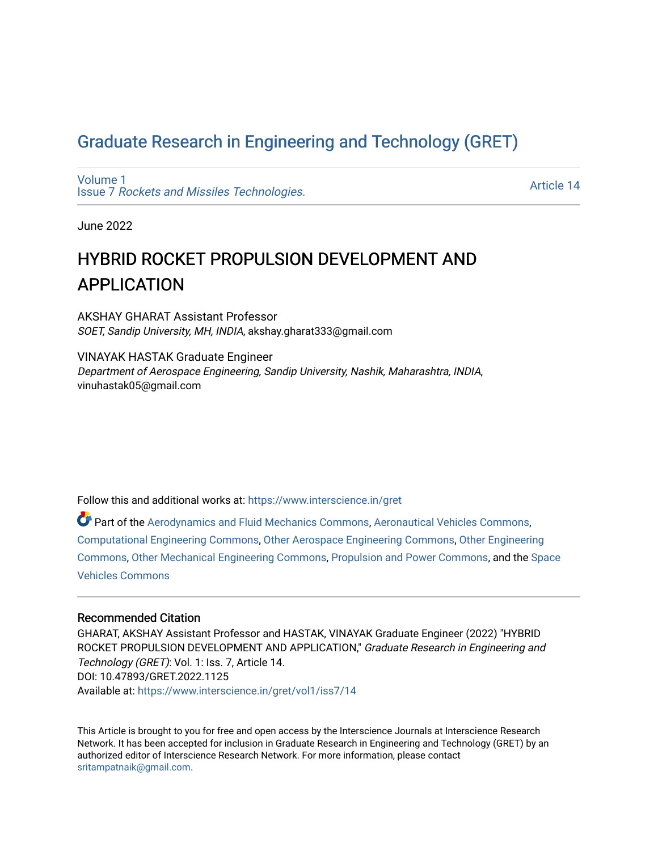## [Graduate Research in Engineering and Technology \(GRET\)](https://www.interscience.in/gret)

[Volume 1](https://www.interscience.in/gret/vol1) Issue 7 [Rockets and Missiles Technologies.](https://www.interscience.in/gret/vol1/iss7)

[Article 14](https://www.interscience.in/gret/vol1/iss7/14) 

June 2022

# HYBRID ROCKET PROPULSION DEVELOPMENT AND APPLICATION

AKSHAY GHARAT Assistant Professor SOET, Sandip University, MH, INDIA, akshay.gharat333@gmail.com

VINAYAK HASTAK Graduate Engineer Department of Aerospace Engineering, Sandip University, Nashik, Maharashtra, INDIA, vinuhastak05@gmail.com

Follow this and additional works at: [https://www.interscience.in/gret](https://www.interscience.in/gret?utm_source=www.interscience.in%2Fgret%2Fvol1%2Fiss7%2F14&utm_medium=PDF&utm_campaign=PDFCoverPages)

Part of the [Aerodynamics and Fluid Mechanics Commons,](https://network.bepress.com/hgg/discipline/222?utm_source=www.interscience.in%2Fgret%2Fvol1%2Fiss7%2F14&utm_medium=PDF&utm_campaign=PDFCoverPages) [Aeronautical Vehicles Commons,](https://network.bepress.com/hgg/discipline/219?utm_source=www.interscience.in%2Fgret%2Fvol1%2Fiss7%2F14&utm_medium=PDF&utm_campaign=PDFCoverPages) [Computational Engineering Commons,](https://network.bepress.com/hgg/discipline/311?utm_source=www.interscience.in%2Fgret%2Fvol1%2Fiss7%2F14&utm_medium=PDF&utm_campaign=PDFCoverPages) [Other Aerospace Engineering Commons](https://network.bepress.com/hgg/discipline/228?utm_source=www.interscience.in%2Fgret%2Fvol1%2Fiss7%2F14&utm_medium=PDF&utm_campaign=PDFCoverPages), [Other Engineering](https://network.bepress.com/hgg/discipline/315?utm_source=www.interscience.in%2Fgret%2Fvol1%2Fiss7%2F14&utm_medium=PDF&utm_campaign=PDFCoverPages)  [Commons](https://network.bepress.com/hgg/discipline/315?utm_source=www.interscience.in%2Fgret%2Fvol1%2Fiss7%2F14&utm_medium=PDF&utm_campaign=PDFCoverPages), [Other Mechanical Engineering Commons,](https://network.bepress.com/hgg/discipline/304?utm_source=www.interscience.in%2Fgret%2Fvol1%2Fiss7%2F14&utm_medium=PDF&utm_campaign=PDFCoverPages) [Propulsion and Power Commons](https://network.bepress.com/hgg/discipline/225?utm_source=www.interscience.in%2Fgret%2Fvol1%2Fiss7%2F14&utm_medium=PDF&utm_campaign=PDFCoverPages), and the [Space](https://network.bepress.com/hgg/discipline/220?utm_source=www.interscience.in%2Fgret%2Fvol1%2Fiss7%2F14&utm_medium=PDF&utm_campaign=PDFCoverPages)  [Vehicles Commons](https://network.bepress.com/hgg/discipline/220?utm_source=www.interscience.in%2Fgret%2Fvol1%2Fiss7%2F14&utm_medium=PDF&utm_campaign=PDFCoverPages) 

### Recommended Citation

GHARAT, AKSHAY Assistant Professor and HASTAK, VINAYAK Graduate Engineer (2022) "HYBRID ROCKET PROPULSION DEVELOPMENT AND APPLICATION," Graduate Research in Engineering and Technology (GRET): Vol. 1: Iss. 7, Article 14. DOI: 10.47893/GRET.2022.1125 Available at: [https://www.interscience.in/gret/vol1/iss7/14](https://www.interscience.in/gret/vol1/iss7/14?utm_source=www.interscience.in%2Fgret%2Fvol1%2Fiss7%2F14&utm_medium=PDF&utm_campaign=PDFCoverPages) 

This Article is brought to you for free and open access by the Interscience Journals at Interscience Research Network. It has been accepted for inclusion in Graduate Research in Engineering and Technology (GRET) by an authorized editor of Interscience Research Network. For more information, please contact [sritampatnaik@gmail.com](mailto:sritampatnaik@gmail.com).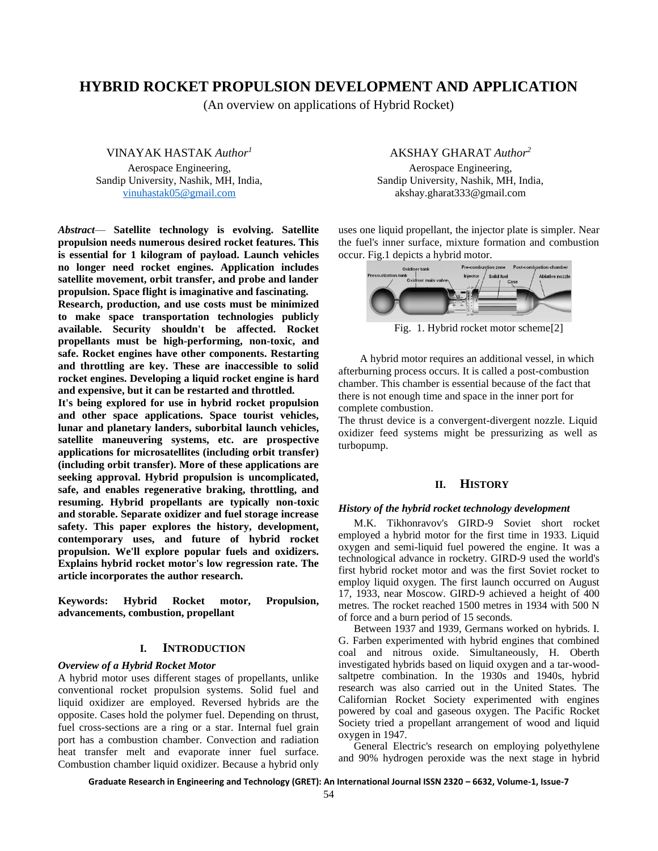## **HYBRID ROCKET PROPULSION DEVELOPMENT AND APPLICATION**

(An overview on applications of Hybrid Rocket)

VINAYAK HASTAK *Author<sup>1</sup>* Aerospace Engineering, Sandip University, Nashik, MH, India, [vinuhastak05@gmail.com](mailto:vinuhastak05@gmail.com)

*Abstract*— **Satellite technology is evolving. Satellite propulsion needs numerous desired rocket features. This is essential for 1 kilogram of payload. Launch vehicles no longer need rocket engines. Application includes satellite movement, orbit transfer, and probe and lander propulsion. Space flight is imaginative and fascinating.**

**Research, production, and use costs must be minimized to make space transportation technologies publicly available. Security shouldn't be affected. Rocket propellants must be high-performing, non-toxic, and safe. Rocket engines have other components. Restarting and throttling are key. These are inaccessible to solid rocket engines. Developing a liquid rocket engine is hard and expensive, but it can be restarted and throttled.**

**It's being explored for use in hybrid rocket propulsion and other space applications. Space tourist vehicles, lunar and planetary landers, suborbital launch vehicles, satellite maneuvering systems, etc. are prospective applications for microsatellites (including orbit transfer) (including orbit transfer). More of these applications are seeking approval. Hybrid propulsion is uncomplicated, safe, and enables regenerative braking, throttling, and resuming. Hybrid propellants are typically non-toxic and storable. Separate oxidizer and fuel storage increase safety. This paper explores the history, development, contemporary uses, and future of hybrid rocket propulsion. We'll explore popular fuels and oxidizers. Explains hybrid rocket motor's low regression rate. The article incorporates the author research.**

**Keywords: Hybrid Rocket motor, Propulsion, advancements, combustion, propellant**

#### **I. INTRODUCTION**

#### *Overview of a Hybrid Rocket Motor*

A hybrid motor uses different stages of propellants, unlike conventional rocket propulsion systems. Solid fuel and liquid oxidizer are employed. Reversed hybrids are the opposite. Cases hold the polymer fuel. Depending on thrust, fuel cross-sections are a ring or a star. Internal fuel grain port has a combustion chamber. Convection and radiation heat transfer melt and evaporate inner fuel surface. Combustion chamber liquid oxidizer. Because a hybrid only

#### AKSHAY GHARAT *Author<sup>2</sup>*

Aerospace Engineering, Sandip University, Nashik, MH, India, akshay.gharat333@gmail.com

uses one liquid propellant, the injector plate is simpler. Near the fuel's inner surface, mixture formation and combustion occur. Fig.1 depicts a hybrid motor.



Fig. 1. Hybrid rocket motor scheme[2]

A hybrid motor requires an additional vessel, in which afterburning process occurs. It is called a post-combustion chamber. This chamber is essential because of the fact that there is not enough time and space in the inner port for complete combustion.

The thrust device is a convergent-divergent nozzle. Liquid oxidizer feed systems might be pressurizing as well as turbopump.

#### **II. HISTORY**

#### *History of the hybrid rocket technology development*

M.K. Tikhonravov's GIRD-9 Soviet short rocket employed a hybrid motor for the first time in 1933. Liquid oxygen and semi-liquid fuel powered the engine. It was a technological advance in rocketry. GIRD-9 used the world's first hybrid rocket motor and was the first Soviet rocket to employ liquid oxygen. The first launch occurred on August 17, 1933, near Moscow. GIRD-9 achieved a height of 400 metres. The rocket reached 1500 metres in 1934 with 500 N of force and a burn period of 15 seconds.

Between 1937 and 1939, Germans worked on hybrids. I. G. Farben experimented with hybrid engines that combined coal and nitrous oxide. Simultaneously, H. Oberth investigated hybrids based on liquid oxygen and a tar-woodsaltpetre combination. In the 1930s and 1940s, hybrid research was also carried out in the United States. The Californian Rocket Society experimented with engines powered by coal and gaseous oxygen. The Pacific Rocket Society tried a propellant arrangement of wood and liquid oxygen in 1947.

General Electric's research on employing polyethylene and 90% hydrogen peroxide was the next stage in hybrid

**Graduate Research in Engineering and Technology (GRET): An International Journal ISSN 2320 – 6632, Volume-1, Issue-7**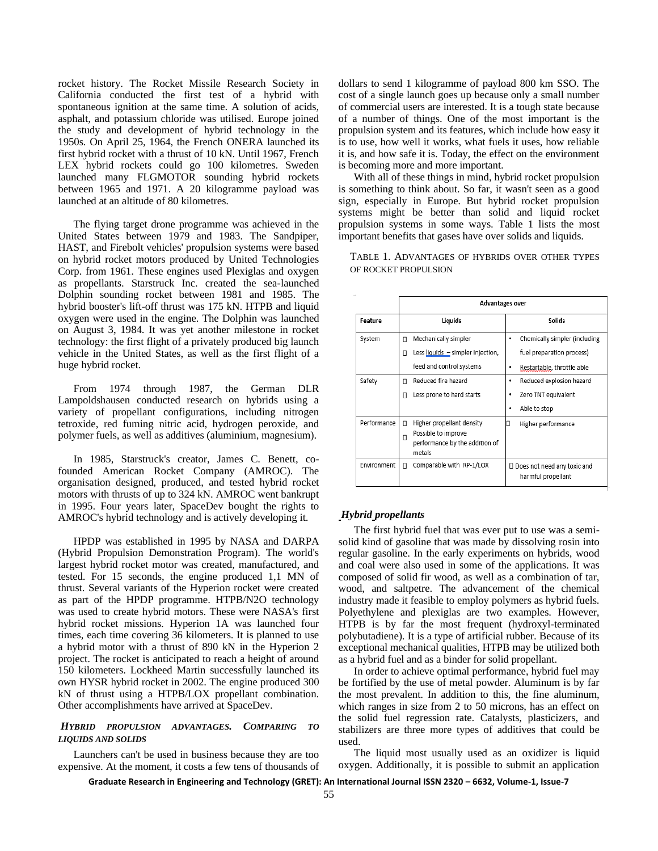rocket history. The Rocket Missile Research Society in California conducted the first test of a hybrid with spontaneous ignition at the same time. A solution of acids, asphalt, and potassium chloride was utilised. Europe joined the study and development of hybrid technology in the 1950s. On April 25, 1964, the French ONERA launched its first hybrid rocket with a thrust of 10 kN. Until 1967, French LEX hybrid rockets could go 100 kilometres. Sweden launched many FLGMOTOR sounding hybrid rockets between 1965 and 1971. A 20 kilogramme payload was launched at an altitude of 80 kilometres.

The flying target drone programme was achieved in the United States between 1979 and 1983. The Sandpiper, HAST, and Firebolt vehicles' propulsion systems were based on hybrid rocket motors produced by United Technologies Corp. from 1961. These engines used Plexiglas and oxygen as propellants. Starstruck Inc. created the sea-launched Dolphin sounding rocket between 1981 and 1985. The hybrid booster's lift-off thrust was 175 kN. HTPB and liquid oxygen were used in the engine. The Dolphin was launched on August 3, 1984. It was yet another milestone in rocket technology: the first flight of a privately produced big launch vehicle in the United States, as well as the first flight of a huge hybrid rocket.

From 1974 through 1987, the German DLR Lampoldshausen conducted research on hybrids using a variety of propellant configurations, including nitrogen tetroxide, red fuming nitric acid, hydrogen peroxide, and polymer fuels, as well as additives (aluminium, magnesium).

In 1985, Starstruck's creator, James C. Benett, cofounded American Rocket Company (AMROC). The organisation designed, produced, and tested hybrid rocket motors with thrusts of up to 324 kN. AMROC went bankrupt in 1995. Four years later, SpaceDev bought the rights to AMROC's hybrid technology and is actively developing it.

HPDP was established in 1995 by NASA and DARPA (Hybrid Propulsion Demonstration Program). The world's largest hybrid rocket motor was created, manufactured, and tested. For 15 seconds, the engine produced 1,1 MN of thrust. Several variants of the Hyperion rocket were created as part of the HPDP programme. HTPB/N2O technology was used to create hybrid motors. These were NASA's first hybrid rocket missions. Hyperion 1A was launched four times, each time covering 36 kilometers. It is planned to use a hybrid motor with a thrust of 890 kN in the Hyperion 2 project. The rocket is anticipated to reach a height of around 150 kilometers. Lockheed Martin successfully launched its own HYSR hybrid rocket in 2002. The engine produced 300 kN of thrust using a HTPB/LOX propellant combination. Other accomplishments have arrived at SpaceDev.

#### *HYBRID PROPULSION ADVANTAGES. COMPARING TO LIQUIDS AND SOLIDS*

Launchers can't be used in business because they are too expensive. At the moment, it costs a few tens of thousands of dollars to send 1 kilogramme of payload 800 km SSO. The cost of a single launch goes up because only a small number of commercial users are interested. It is a tough state because of a number of things. One of the most important is the propulsion system and its features, which include how easy it is to use, how well it works, what fuels it uses, how reliable it is, and how safe it is. Today, the effect on the environment is becoming more and more important.

With all of these things in mind, hybrid rocket propulsion is something to think about. So far, it wasn't seen as a good sign, especially in Europe. But hybrid rocket propulsion systems might be better than solid and liquid rocket propulsion systems in some ways. Table 1 lists the most important benefits that gases have over solids and liquids.

TABLE 1. ADVANTAGES OF HYBRIDS OVER OTHER TYPES OF ROCKET PROPULSION

|             | Advantages over                                                                                        |                                                     |
|-------------|--------------------------------------------------------------------------------------------------------|-----------------------------------------------------|
| Feature     | Liquids                                                                                                | <b>Solids</b>                                       |
| System      | Mechanically simpler<br>п                                                                              | Chemically simpler (including<br>٠                  |
|             | Less liquids - simpler injection,<br>п                                                                 | fuel preparation process)                           |
|             | feed and control systems                                                                               | Restartable, throttle able<br>٠                     |
| Safety      | Reduced fire hazard<br>п                                                                               | Reduced explosion hazard<br>٠                       |
|             | Less prone to hard starts<br>П                                                                         | Zero TNT equivalent<br>٠                            |
|             |                                                                                                        | Able to stop<br>٠                                   |
| Performance | Higher propellant density<br>п<br>Possible to improve<br>П<br>performance by the addition of<br>metals | Higher performance<br>◨                             |
| Environment | Comparable with RP-1/LOX<br>п                                                                          | □ Does not need any toxic and<br>harmful propellant |

#### *Hybrid propellants*

The first hybrid fuel that was ever put to use was a semisolid kind of gasoline that was made by dissolving rosin into regular gasoline. In the early experiments on hybrids, wood and coal were also used in some of the applications. It was composed of solid fir wood, as well as a combination of tar, wood, and saltpetre. The advancement of the chemical industry made it feasible to employ polymers as hybrid fuels. Polyethylene and plexiglas are two examples. However, HTPB is by far the most frequent (hydroxyl-terminated polybutadiene). It is a type of artificial rubber. Because of its exceptional mechanical qualities, HTPB may be utilized both as a hybrid fuel and as a binder for solid propellant.

In order to achieve optimal performance, hybrid fuel may be fortified by the use of metal powder. Aluminum is by far the most prevalent. In addition to this, the fine aluminum, which ranges in size from 2 to 50 microns, has an effect on the solid fuel regression rate. Catalysts, plasticizers, and stabilizers are three more types of additives that could be used.

The liquid most usually used as an oxidizer is liquid oxygen. Additionally, it is possible to submit an application

**Graduate Research in Engineering and Technology (GRET): An International Journal ISSN 2320 – 6632, Volume-1, Issue-7**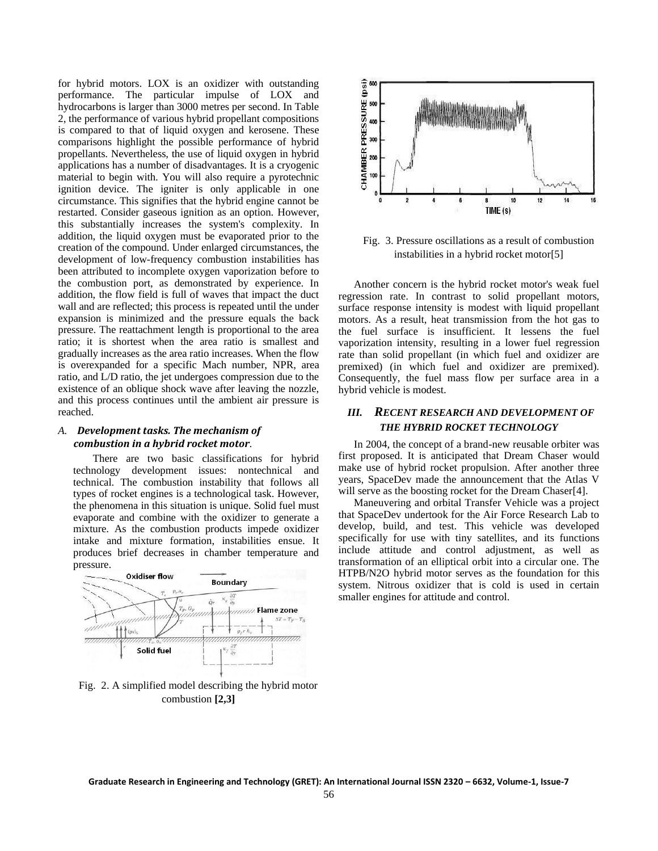for hybrid motors. LOX is an oxidizer with outstanding performance. The particular impulse of LOX and hydrocarbons is larger than 3000 metres per second. In Table 2, the performance of various hybrid propellant compositions is compared to that of liquid oxygen and kerosene. These comparisons highlight the possible performance of hybrid propellants. Nevertheless, the use of liquid oxygen in hybrid applications has a number of disadvantages. It is a cryogenic material to begin with. You will also require a pyrotechnic ignition device. The igniter is only applicable in one circumstance. This signifies that the hybrid engine cannot be restarted. Consider gaseous ignition as an option. However, this substantially increases the system's complexity. In addition, the liquid oxygen must be evaporated prior to the creation of the compound. Under enlarged circumstances, the development of low-frequency combustion instabilities has been attributed to incomplete oxygen vaporization before to the combustion port, as demonstrated by experience. In addition, the flow field is full of waves that impact the duct wall and are reflected; this process is repeated until the under expansion is minimized and the pressure equals the back pressure. The reattachment length is proportional to the area ratio; it is shortest when the area ratio is smallest and gradually increases as the area ratio increases. When the flow is overexpanded for a specific Mach number, NPR, area ratio, and L/D ratio, the jet undergoes compression due to the existence of an oblique shock wave after leaving the nozzle, and this process continues until the ambient air pressure is reached.

#### *A. Development tasks. The mechanism of combustion in a hybrid rocket motor.*

There are two basic classifications for hybrid technology development issues: nontechnical and technical. The combustion instability that follows all types of rocket engines is a technological task. However, the phenomena in this situation is unique. Solid fuel must evaporate and combine with the oxidizer to generate a mixture. As the combustion products impede oxidizer intake and mixture formation, instabilities ensue. It produces brief decreases in chamber temperature and pressure.



Fig. 2. A simplified model describing the hybrid motor combustion **[2,3]**



Fig. 3. Pressure oscillations as a result of combustion instabilities in a hybrid rocket motor[5]

Another concern is the hybrid rocket motor's weak fuel regression rate. In contrast to solid propellant motors, surface response intensity is modest with liquid propellant motors. As a result, heat transmission from the hot gas to the fuel surface is insufficient. It lessens the fuel vaporization intensity, resulting in a lower fuel regression rate than solid propellant (in which fuel and oxidizer are premixed) (in which fuel and oxidizer are premixed). Consequently, the fuel mass flow per surface area in a hybrid vehicle is modest.

## *III. RECENT RESEARCH AND DEVELOPMENT OF THE HYBRID ROCKET TECHNOLOGY*

In 2004, the concept of a brand-new reusable orbiter was first proposed. It is anticipated that Dream Chaser would make use of hybrid rocket propulsion. After another three years, SpaceDev made the announcement that the Atlas V will serve as the boosting rocket for the Dream Chaser<sup>[4]</sup>.

Maneuvering and orbital Transfer Vehicle was a project that SpaceDev undertook for the Air Force Research Lab to develop, build, and test. This vehicle was developed specifically for use with tiny satellites, and its functions include attitude and control adjustment, as well as transformation of an elliptical orbit into a circular one. The HTPB/N2O hybrid motor serves as the foundation for this system. Nitrous oxidizer that is cold is used in certain smaller engines for attitude and control.

**Graduate Research in Engineering and Technology (GRET): An International Journal ISSN 2320 – 6632, Volume-1, Issue-7**